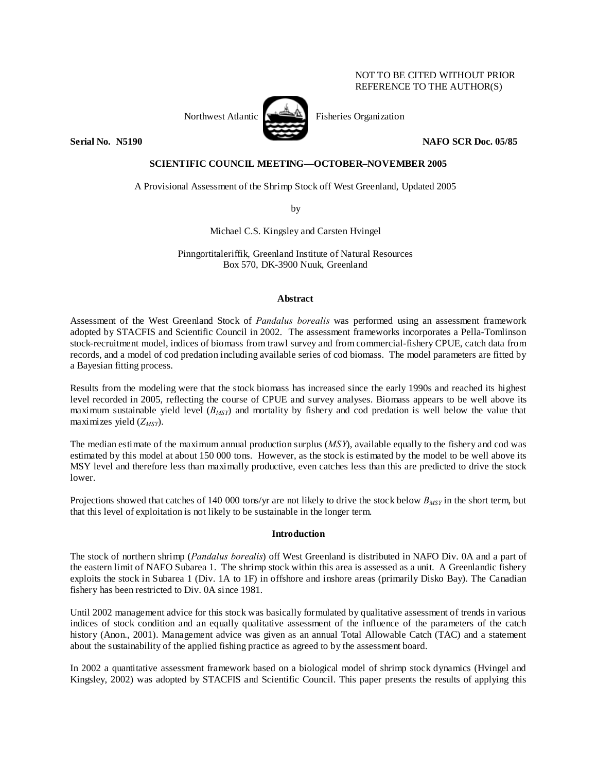# NOT TO BE CITED WITHOUT PRIOR REFERENCE TO THE AUTHOR(S)



Northwest Atlantic  $\left[\begin{array}{cc} \begin{array}{ccc} \begin{array}{ccc} \end{array} & \begin{array}{ccc} \end{array} & \end{array} & \begin{array}{ccc} \end{array} & \begin{array}{ccc} \end{array} & \end{array} & \begin{array}{ccc} \end{array} & \begin{array}{ccc} \end{array} & \end{array} & \begin{array}{ccc} \end{array} & \end{array} & \begin{array}{ccc} \end{array} & \begin{array}{ccc} \end{array} & \end{array} & \begin{array}{ccc} \end{array} & \begin{array}{ccc} \end{array} & \begin{array}{ccc} \end{array}$ 

**Serial No. N5190 NAFO SCR Doc. 05/85** 

# **SCIENTIFIC COUNCIL MEETING—OCTOBER–NOVEMBER 2005**

A Provisional Assessment of the Shrimp Stock off West Greenland, Updated 2005

by

Michael C.S. Kingsley and Carsten Hvingel

Pinngortitaleriffik, Greenland Institute of Natural Resources Box 570, DK-3900 Nuuk, Greenland

## **Abstract**

Assessment of the West Greenland Stock of *Pandalus borealis* was performed using an assessment framework adopted by STACFIS and Scientific Council in 2002. The assessment frameworks incorporates a Pella-Tomlinson stock-recruitment model, indices of biomass from trawl survey and from commercial-fishery CPUE, catch data from records, and a model of cod predation including available series of cod biomass. The model parameters are fitted by a Bayesian fitting process.

Results from the modeling were that the stock biomass has increased since the early 1990s and reached its highest level recorded in 2005, reflecting the course of CPUE and survey analyses. Biomass appears to be well above its maximum sustainable yield level (*BMSY*) and mortality by fishery and cod predation is well below the value that maximizes yield  $(Z_{MSV})$ .

The median estimate of the maximum annual production surplus (*MSY*), available equally to the fishery and cod was estimated by this model at about 150 000 tons. However, as the stock is estimated by the model to be well above its MSY level and therefore less than maximally productive, even catches less than this are predicted to drive the stock lower.

Projections showed that catches of 140 000 tons/yr are not likely to drive the stock below *BMSY* in the short term, but that this level of exploitation is not likely to be sustainable in the longer term.

## **Introduction**

The stock of northern shrimp (*Pandalus borealis*) off West Greenland is distributed in NAFO Div. 0A and a part of the eastern limit of NAFO Subarea 1. The shrimp stock within this area is assessed as a unit. A Greenlandic fishery exploits the stock in Subarea 1 (Div. 1A to 1F) in offshore and inshore areas (primarily Disko Bay). The Canadian fishery has been restricted to Div. 0A since 1981.

Until 2002 management advice for this stock was basically formulated by qualitative assessment of trends in various indices of stock condition and an equally qualitative assessment of the influence of the parameters of the catch history (Anon., 2001). Management advice was given as an annual Total Allowable Catch (TAC) and a statement about the sustainability of the applied fishing practice as agreed to by the assessment board.

In 2002 a quantitative assessment framework based on a biological model of shrimp stock dynamics (Hvingel and Kingsley, 2002) was adopted by STACFIS and Scientific Council. This paper presents the results of applying this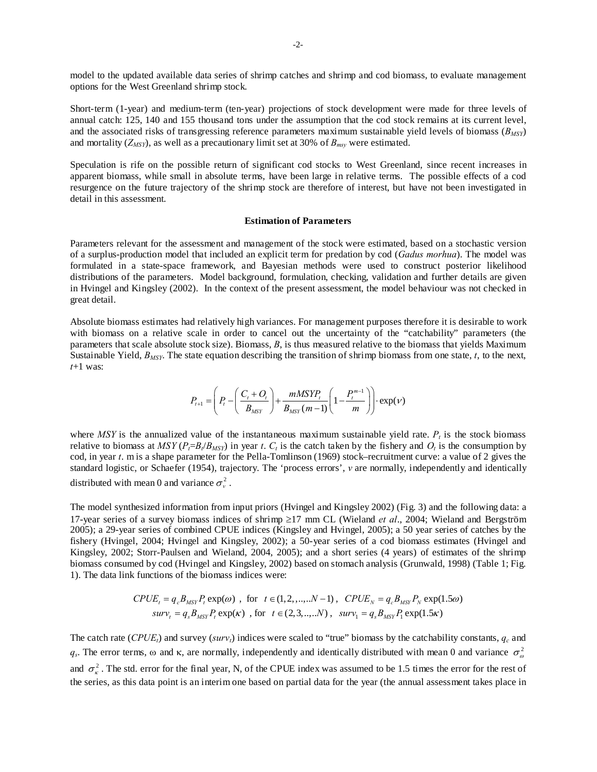model to the updated available data series of shrimp catches and shrimp and cod biomass, to evaluate management options for the West Greenland shrimp stock.

Short-term (1-year) and medium-term (ten-year) projections of stock development were made for three levels of annual catch: 125, 140 and 155 thousand tons under the assumption that the cod stock remains at its current level, and the associated risks of transgressing reference parameters maximum sustainable yield levels of biomass  $(B_{MSP})$ and mortality  $(Z_{MSY})$ , as well as a precautionary limit set at 30% of  $B_{msv}$  were estimated.

Speculation is rife on the possible return of significant cod stocks to West Greenland, since recent increases in apparent biomass, while small in absolute terms, have been large in relative terms. The possible effects of a cod resurgence on the future trajectory of the shrimp stock are therefore of interest, but have not been investigated in detail in this assessment.

### **Estimation of Parameters**

Parameters relevant for the assessment and management of the stock were estimated, based on a stochastic version of a surplus-production model that included an explicit term for predation by cod (*Gadus morhua*). The model was formulated in a state-space framework, and Bayesian methods were used to construct posterior likelihood distributions of the parameters. Model background, formulation, checking, validation and further details are given in Hvingel and Kingsley (2002). In the context of the present assessment, the model behaviour was not checked in great detail.

Absolute biomass estimates had relatively high variances. For management purposes therefore it is desirable to work with biomass on a relative scale in order to cancel out the uncertainty of the "catchability" parameters (the parameters that scale absolute stock size). Biomass, *B*, is thus measured relative to the biomass that yields Maximum Sustainable Yield,  $B_{MSY}$ . The state equation describing the transition of shrimp biomass from one state, *t*, to the next, *t*+1 was:

$$
P_{t+1} = \left( P_t - \left( \frac{C_t + O_t}{B_{MSY}} \right) + \frac{mMSYP_t}{B_{MSY}(m-1)} \left( 1 - \frac{P_t^{m-1}}{m} \right) \right) \cdot \exp(V)
$$

where *MSY* is the annualized value of the instantaneous maximum sustainable yield rate.  $P_t$  is the stock biomass relative to biomass at  $MSY(P_t=B_t/B_{MSY})$  in year *t*.  $C_t$  is the catch taken by the fishery and  $O_t$  is the consumption by cod, in year *t*. m is a shape parameter for the Pella-Tomlinson (1969) stock–recruitment curve: a value of 2 gives the standard logistic, or Schaefer (1954), trajectory. The 'process errors', *v* are normally, independently and identically distributed with mean 0 and variance  $\sigma_v^2$ .

The model synthesized information from input priors (Hvingel and Kingsley 2002) (Fig. 3) and the following data: a 17-year series of a survey biomass indices of shrimp ≥17 mm CL (Wieland *et al*., 2004; Wieland and Bergström 2005); a 29-year series of combined CPUE indices (Kingsley and Hvingel, 2005); a 50 year series of catches by the fishery (Hvingel, 2004; Hvingel and Kingsley, 2002); a 50-year series of a cod biomass estimates (Hvingel and Kingsley, 2002; Storr-Paulsen and Wieland, 2004, 2005); and a short series (4 years) of estimates of the shrimp biomass consumed by cod (Hvingel and Kingsley, 2002) based on stomach analysis (Grunwald, 1998) (Table 1; Fig. 1). The data link functions of the biomass indices were:

$$
CPUE_t = q_c B_{MSY} P_t \exp(\omega) , \text{ for } t \in (1, 2, ..., N - 1), CPUE_N = q_c B_{MSY} P_N \exp(1.5\omega)
$$
  

$$
surv_t = q_s B_{MSY} P_t \exp(\kappa) , \text{ for } t \in (2, 3, ..., N), surv_1 = q_s B_{MSY} P_t \exp(1.5\kappa)
$$

The catch rate ( $\text{CPUE}_t$ ) and survey ( $\text{surv}_t$ ) indices were scaled to "true" biomass by the catchability constants,  $q_c$  and  $q_s$ . The error terms,  $\omega$  and  $\kappa$ , are normally, independently and identically distributed with mean 0 and variance  $\sigma_{\omega}^2$ and  $\sigma_{\kappa}^2$ . The std. error for the final year, N, of the CPUE index was assumed to be 1.5 times the error for the rest of the series, as this data point is an interim one based on partial data for the year (the annual assessment takes place in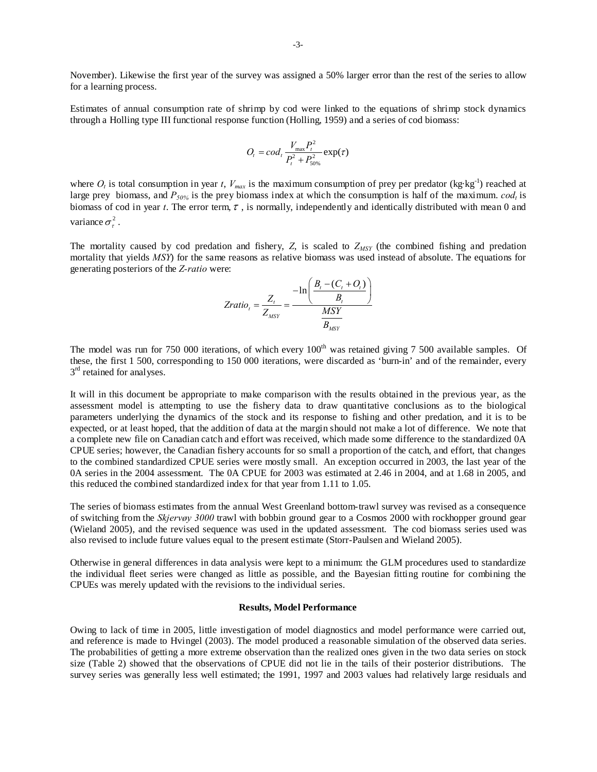November). Likewise the first year of the survey was assigned a 50% larger error than the rest of the series to allow for a learning process.

Estimates of annual consumption rate of shrimp by cod were linked to the equations of shrimp stock dynamics through a Holling type III functional response function (Holling, 1959) and a series of cod biomass:

$$
O_t = cod_t \frac{V_{\text{max}} P_t^2}{P_t^2 + P_{50\%}^2} \exp(\tau)
$$

where  $O_t$  is total consumption in year *t*,  $V_{max}$  is the maximum consumption of prey per predator (kg·kg<sup>-1</sup>) reached at large prey biomass, and  $P_{50\%}$  is the prey biomass index at which the consumption is half of the maximum.  $cod_t$  is biomass of cod in year *t*. The error term,  $\tau$ , is normally, independently and identically distributed with mean 0 and variance  $\sigma^2$ .

The mortality caused by cod predation and fishery,  $Z$ , is scaled to  $Z_{MSY}$  (the combined fishing and predation mortality that yields *MSY*) for the same reasons as relative biomass was used instead of absolute. The equations for generating posteriors of the *Z-ratio* were:

$$
Zratio_{t} = \frac{Z_{t}}{Z_{MSY}} = \frac{-\ln\left(\frac{B_{t} - (C_{t} + O_{t})}{B_{t}}\right)}{\frac{MSY}{B_{MSY}}}
$$

The model was run for 750 000 iterations, of which every 100<sup>th</sup> was retained giving 7 500 available samples. Of these, the first 1 500, corresponding to 150 000 iterations, were discarded as 'burn-in' and of the remainder, every  $3<sup>rd</sup>$  retained for analyses.

It will in this document be appropriate to make comparison with the results obtained in the previous year, as the assessment model is attempting to use the fishery data to draw quantitative conclusions as to the biological parameters underlying the dynamics of the stock and its response to fishing and other predation, and it is to be expected, or at least hoped, that the addition of data at the margin should not make a lot of difference. We note that a complete new file on Canadian catch and effort was received, which made some difference to the standardized 0A CPUE series; however, the Canadian fishery accounts for so small a proportion of the catch, and effort, that changes to the combined standardized CPUE series were mostly small. An exception occurred in 2003, the last year of the 0A series in the 2004 assessment. The 0A CPUE for 2003 was estimated at 2.46 in 2004, and at 1.68 in 2005, and this reduced the combined standardized index for that year from 1.11 to 1.05.

The series of biomass estimates from the annual West Greenland bottom-trawl survey was revised as a consequence of switching from the *Skjervøy 3000* trawl with bobbin ground gear to a Cosmos 2000 with rockhopper ground gear (Wieland 2005), and the revised sequence was used in the updated assessment. The cod biomass series used was also revised to include future values equal to the present estimate (Storr-Paulsen and Wieland 2005).

Otherwise in general differences in data analysis were kept to a minimum: the GLM procedures used to standardize the individual fleet series were changed as little as possible, and the Bayesian fitting routine for combining the CPUEs was merely updated with the revisions to the individual series.

### **Results, Model Performance**

Owing to lack of time in 2005, little investigation of model diagnostics and model performance were carried out, and reference is made to Hvingel (2003). The model produced a reasonable simulation of the observed data series. The probabilities of getting a more extreme observation than the realized ones given in the two data series on stock size (Table 2) showed that the observations of CPUE did not lie in the tails of their posterior distributions. The survey series was generally less well estimated; the 1991, 1997 and 2003 values had relatively large residuals and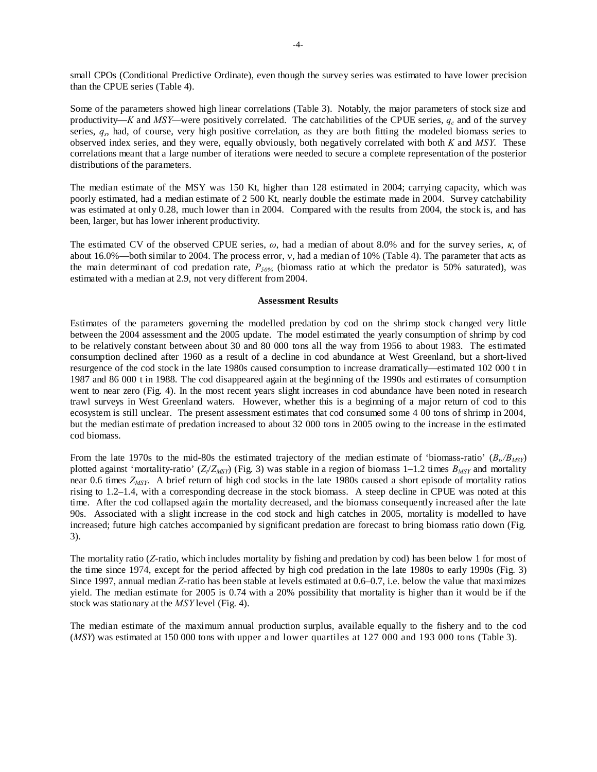small CPOs (Conditional Predictive Ordinate), even though the survey series was estimated to have lower precision than the CPUE series (Table 4).

Some of the parameters showed high linear correlations (Table 3). Notably, the major parameters of stock size and productivity—*K* and *MSY*—were positively correlated. The catchabilities of the CPUE series,  $q_c$  and of the survey series, *qs*, had, of course, very high positive correlation, as they are both fitting the modeled biomass series to observed index series, and they were, equally obviously, both negatively correlated with both *K* and *MSY*. These correlations meant that a large number of iterations were needed to secure a complete representation of the posterior distributions of the parameters.

The median estimate of the MSY was 150 Kt, higher than 128 estimated in 2004; carrying capacity, which was poorly estimated, had a median estimate of 2 500 Kt, nearly double the estimate made in 2004. Survey catchability was estimated at only 0.28, much lower than in 2004. Compared with the results from 2004, the stock is, and has been, larger, but has lower inherent productivity.

The estimated CV of the observed CPUE series, *ω*, had a median of about 8.0% and for the survey series, κ, of about 16.0%—both similar to 2004. The process error, ν, had a median of 10% (Table 4). The parameter that acts as the main determinant of cod predation rate, *P50%* (biomass ratio at which the predator is 50% saturated), was estimated with a median at 2.9, not very different from 2004.

### **Assessment Results**

Estimates of the parameters governing the modelled predation by cod on the shrimp stock changed very little between the 2004 assessment and the 2005 update. The model estimated the yearly consumption of shrimp by cod to be relatively constant between about 30 and 80 000 tons all the way from 1956 to about 1983. The estimated consumption declined after 1960 as a result of a decline in cod abundance at West Greenland, but a short-lived resurgence of the cod stock in the late 1980s caused consumption to increase dramatically—estimated 102 000 t in 1987 and 86 000 t in 1988. The cod disappeared again at the beginning of the 1990s and estimates of consumption went to near zero (Fig. 4). In the most recent years slight increases in cod abundance have been noted in research trawl surveys in West Greenland waters. However, whether this is a beginning of a major return of cod to this ecosystem is still unclear. The present assessment estimates that cod consumed some 4 00 tons of shrimp in 2004, but the median estimate of predation increased to about 32 000 tons in 2005 owing to the increase in the estimated cod biomass.

From the late 1970s to the mid-80s the estimated trajectory of the median estimate of 'biomass-ratio'  $(B_t/B_{MSP})$ plotted against 'mortality-ratio'  $(Z_t/Z_{MSY})$  (Fig. 3) was stable in a region of biomass 1–1.2 times  $B_{MSY}$  and mortality near 0.6 times *ZMSY*. A brief return of high cod stocks in the late 1980s caused a short episode of mortality ratios rising to 1.2–1.4, with a corresponding decrease in the stock biomass. A steep decline in CPUE was noted at this time. After the cod collapsed again the mortality decreased, and the biomass consequently increased after the late 90s. Associated with a slight increase in the cod stock and high catches in 2005, mortality is modelled to have increased; future high catches accompanied by significant predation are forecast to bring biomass ratio down (Fig. 3).

The mortality ratio (*Z*-ratio, which includes mortality by fishing and predation by cod) has been below 1 for most of the time since 1974, except for the period affected by high cod predation in the late 1980s to early 1990s (Fig. 3) Since 1997, annual median *Z*-ratio has been stable at levels estimated at 0.6–0.7, i.e. below the value that maximizes yield. The median estimate for 2005 is 0.74 with a 20% possibility that mortality is higher than it would be if the stock was stationary at the *MSY* level (Fig. 4).

The median estimate of the maximum annual production surplus, available equally to the fishery and to the cod (*MSY*) was estimated at 150 000 tons with upper and lower quartiles at 127 000 and 193 000 tons (Table 3).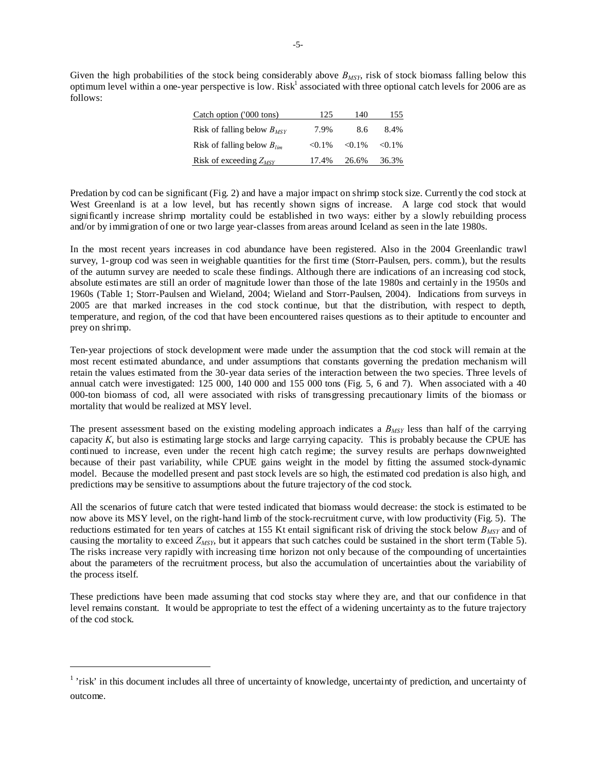Given the high probabilities of the stock being considerably above  $B_{MSY}$ , risk of stock biomass falling below this optimum level within a one-year perspective is low. Risk<sup>1</sup> associated with three optional catch levels for 2006 are as follows:

| Catch option ('000 tons)        | 125       | 140       | 155       |
|---------------------------------|-----------|-----------|-----------|
| Risk of falling below $B_{MSY}$ | 7.9%      | 8.6       | 8.4%      |
| Risk of falling below $B_{lim}$ | $< 0.1\%$ | $< 0.1\%$ | $< 0.1\%$ |
| Risk of exceeding $Z_{MSV}$     | 17.4%     | 26.6%     | 36.3%     |

Predation by cod can be significant (Fig. 2) and have a major impact on shrimp stock size. Currently the cod stock at West Greenland is at a low level, but has recently shown signs of increase. A large cod stock that would significantly increase shrimp mortality could be established in two ways: either by a slowly rebuilding process and/or by immigration of one or two large year-classes from areas around Iceland as seen in the late 1980s.

In the most recent years increases in cod abundance have been registered. Also in the 2004 Greenlandic trawl survey, 1-group cod was seen in weighable quantities for the first time (Storr-Paulsen, pers. comm.), but the results of the autumn survey are needed to scale these findings. Although there are indications of an increasing cod stock, absolute estimates are still an order of magnitude lower than those of the late 1980s and certainly in the 1950s and 1960s (Table 1; Storr-Paulsen and Wieland, 2004; Wieland and Storr-Paulsen, 2004). Indications from surveys in 2005 are that marked increases in the cod stock continue, but that the distribution, with respect to depth, temperature, and region, of the cod that have been encountered raises questions as to their aptitude to encounter and prey on shrimp.

Ten-year projections of stock development were made under the assumption that the cod stock will remain at the most recent estimated abundance, and under assumptions that constants governing the predation mechanism will retain the values estimated from the 30-year data series of the interaction between the two species. Three levels of annual catch were investigated: 125 000, 140 000 and 155 000 tons (Fig. 5, 6 and 7). When associated with a 40 000-ton biomass of cod, all were associated with risks of transgressing precautionary limits of the biomass or mortality that would be realized at MSY level.

The present assessment based on the existing modeling approach indicates a *B<sub>MSY</sub>* less than half of the carrying capacity *K*, but also is estimating large stocks and large carrying capacity. This is probably because the CPUE has continued to increase, even under the recent high catch regime; the survey results are perhaps downweighted because of their past variability, while CPUE gains weight in the model by fitting the assumed stock-dynamic model. Because the modelled present and past stock levels are so high, the estimated cod predation is also high, and predictions may be sensitive to assumptions about the future trajectory of the cod stock.

All the scenarios of future catch that were tested indicated that biomass would decrease: the stock is estimated to be now above its MSY level, on the right-hand limb of the stock-recruitment curve, with low productivity (Fig. 5). The reductions estimated for ten years of catches at 155 Kt entail significant risk of driving the stock below *BMSY* and of causing the mortality to exceed *ZMSY*, but it appears that such catches could be sustained in the short term (Table 5). The risks increase very rapidly with increasing time horizon not only because of the compounding of uncertainties about the parameters of the recruitment process, but also the accumulation of uncertainties about the variability of the process itself.

These predictions have been made assuming that cod stocks stay where they are, and that our confidence in that level remains constant. It would be appropriate to test the effect of a widening uncertainty as to the future trajectory of the cod stock.

 $\overline{a}$ 

<sup>&</sup>lt;sup>1</sup> 'risk' in this document includes all three of uncertainty of knowledge, uncertainty of prediction, and uncertainty of outcome.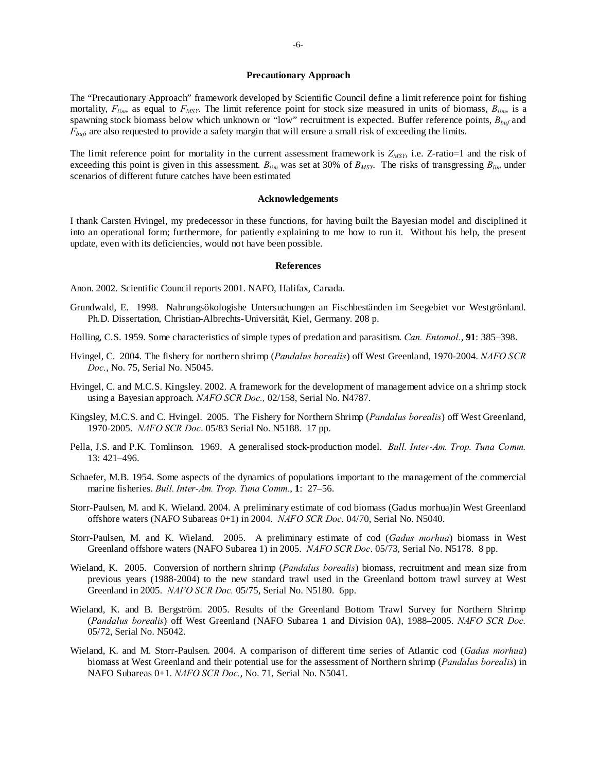### **Precautionary Approach**

The "Precautionary Approach" framework developed by Scientific Council define a limit reference point for fishing mortality,  $F_{lim}$ , as equal to  $F_{MSY}$ . The limit reference point for stock size measured in units of biomass,  $B_{lim}$ , is a spawning stock biomass below which unknown or "low" recruitment is expected. Buffer reference points, *Bbuf* and *F<sub>buf</sub>*, are also requested to provide a safety margin that will ensure a small risk of exceeding the limits.

The limit reference point for mortality in the current assessment framework is  $Z_{MSY}$ , i.e.  $Z$ -ratio=1 and the risk of exceeding this point is given in this assessment.  $B_{lim}$  was set at 30% of  $B_{MSY}$ . The risks of transgressing  $B_{lim}$  under scenarios of different future catches have been estimated

### **Acknowledgements**

I thank Carsten Hvingel, my predecessor in these functions, for having built the Bayesian model and disciplined it into an operational form; furthermore, for patiently explaining to me how to run it. Without his help, the present update, even with its deficiencies, would not have been possible.

#### **References**

Anon. 2002. Scientific Council reports 2001. NAFO, Halifax, Canada.

- Grundwald, E. 1998. Nahrungsökologishe Untersuchungen an Fischbeständen im Seegebiet vor Westgrönland. Ph.D. Dissertation, Christian-Albrechts-Universität, Kiel, Germany. 208 p.
- Holling, C.S. 1959. Some characteristics of simple types of predation and parasitism. *Can. Entomol.*, **91**: 385–398.
- Hvingel, C. 2004. The fishery for northern shrimp (*Pandalus borealis*) off West Greenland, 1970-2004. *NAFO SCR Doc.*, No. 75, Serial No. N5045.
- Hvingel, C. and M.C.S. Kingsley. 2002. A framework for the development of management advice on a shrimp stock using a Bayesian approach. *NAFO SCR Doc.,* 02/158, Serial No. N4787.
- Kingsley, M.C.S. and C. Hvingel. 2005. The Fishery for Northern Shrimp (*Pandalus borealis*) off West Greenland, 1970-2005. *NAFO SCR Doc*. 05/83 Serial No. N5188. 17 pp.
- Pella, J.S. and P.K. Tomlinson. 1969. A generalised stock-production model. *Bull. Inter-Am. Trop. Tuna Comm.*  13: 421–496.
- Schaefer, M.B. 1954. Some aspects of the dynamics of populations important to the management of the commercial marine fisheries. *Bull. Inter-Am. Trop. Tuna Comm.*, **1**: 27–56.
- Storr-Paulsen, M. and K. Wieland. 2004. A preliminary estimate of cod biomass (Gadus morhua)in West Greenland offshore waters (NAFO Subareas 0+1) in 2004. *NAFO SCR Doc.* 04/70, Serial No. N5040.
- Storr-Paulsen, M. and K. Wieland. 2005. A preliminary estimate of cod (*Gadus morhua*) biomass in West Greenland offshore waters (NAFO Subarea 1) in 2005. *NAFO SCR Doc*. 05/73, Serial No. N5178. 8 pp.
- Wieland, K. 2005. Conversion of northern shrimp (*Pandalus borealis*) biomass, recruitment and mean size from previous years (1988-2004) to the new standard trawl used in the Greenland bottom trawl survey at West Greenland in 2005. *NAFO SCR Doc.* 05/75, Serial No. N5180. 6pp.
- Wieland, K. and B. Bergström. 2005. Results of the Greenland Bottom Trawl Survey for Northern Shrimp (*Pandalus borealis*) off West Greenland (NAFO Subarea 1 and Division 0A), 1988–2005. *NAFO SCR Doc.* 05/72, Serial No. N5042.
- Wieland, K. and M. Storr-Paulsen. 2004. A comparison of different time series of Atlantic cod (*Gadus morhua*) biomass at West Greenland and their potential use for the assessment of Northern shrimp (*Pandalus borealis*) in NAFO Subareas 0+1. *NAFO SCR Doc.*, No. 71, Serial No. N5041.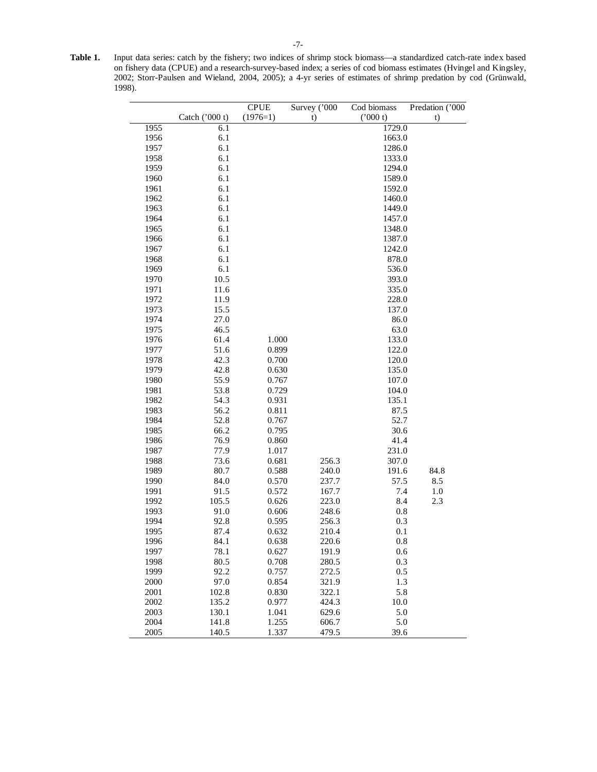| Table 1. | Input data series: catch by the fishery; two indices of shrimp stock biomass—a standardized catch-rate index based |
|----------|--------------------------------------------------------------------------------------------------------------------|
|          | on fishery data (CPUE) and a research-survey-based index; a series of cod biomass estimates (Hyingel and Kingsley, |
|          | 2002; Storr-Paulsen and Wieland, 2004, 2005); a 4-yr series of estimates of shrimp predation by cod (Grünwald,     |
|          | 1998).                                                                                                             |
|          |                                                                                                                    |

|                      |                         | <b>CPUE</b>             | Survey ('000            | Cod biomass        | Predation ('000 |
|----------------------|-------------------------|-------------------------|-------------------------|--------------------|-----------------|
|                      | Catch ('000 t)          | $(1976=1)$              | t)                      | ('000 t)           | t)              |
| 1955                 | 6.1                     |                         |                         | 1729.0             |                 |
| 1956                 | 6.1                     |                         |                         | 1663.0             |                 |
| 1957                 | 6.1                     |                         |                         | 1286.0             |                 |
| 1958                 | 6.1                     |                         |                         | 1333.0             |                 |
| 1959                 | 6.1                     |                         |                         | 1294.0             |                 |
| 1960                 | 6.1                     |                         |                         | 1589.0             |                 |
| 1961                 | 6.1                     |                         |                         | 1592.0             |                 |
| 1962                 | 6.1                     |                         |                         | 1460.0             |                 |
| 1963                 | 6.1                     |                         |                         | 1449.0             |                 |
| 1964                 | 6.1                     |                         |                         | 1457.0             |                 |
| 1965                 | 6.1                     |                         |                         | 1348.0             |                 |
| 1966                 | 6.1                     |                         |                         | 1387.0             |                 |
| 1967                 | 6.1                     |                         |                         | 1242.0             |                 |
| 1968                 | 6.1                     |                         |                         | 878.0              |                 |
| 1969                 | 6.1                     |                         |                         | 536.0              |                 |
| 1970                 | 10.5                    |                         |                         | 393.0              |                 |
| 1971                 | 11.6                    |                         |                         | 335.0              |                 |
| 1972                 | 11.9                    |                         |                         | 228.0              |                 |
| 1973                 | 15.5                    |                         |                         | 137.0              |                 |
| 1974                 | 27.0                    |                         |                         | 86.0               |                 |
| 1975                 | 46.5                    |                         |                         | 63.0               |                 |
| 1976                 | 61.4                    | 1.000                   |                         | 133.0              |                 |
| 1977                 | 51.6                    | 0.899                   |                         | 122.0              |                 |
| 1978                 | 42.3                    | 0.700                   |                         | 120.0              |                 |
| 1979                 | 42.8                    | 0.630                   |                         | 135.0              |                 |
| 1980                 | 55.9                    | 0.767                   |                         | 107.0              |                 |
| 1981                 | 53.8                    | 0.729                   |                         | 104.0              |                 |
| 1982                 | 54.3                    | 0.931                   |                         | 135.1              |                 |
| 1983                 | 56.2                    | 0.811                   |                         | 87.5               |                 |
| 1984                 | 52.8                    | 0.767                   |                         | 52.7               |                 |
| 1985                 | 66.2                    | 0.795                   |                         | 30.6               |                 |
| 1986                 | 76.9                    | 0.860                   |                         | 41.4               |                 |
| 1987                 | 77.9                    | 1.017                   |                         | 231.0              |                 |
| 1988                 | 73.6                    | 0.681                   | 256.3                   | 307.0              |                 |
| 1989                 | 80.7                    | 0.588                   | 240.0                   | 191.6              | 84.8            |
| 1990                 | 84.0                    | 0.570                   | 237.7                   | 57.5               | 8.5             |
| 1991                 | 91.5                    | 0.572                   | 167.7                   | 7.4                | 1.0             |
| 1992                 | 105.5                   | 0.626                   | 223.0                   | 8.4                | 2.3             |
| 1993                 | 91.0                    | 0.606                   | 248.6                   | $0.8\,$            |                 |
| 1994                 | 92.8                    | 0.595                   | 256.3                   | 0.3                |                 |
| 1995                 | 87.4                    | 0.632                   | 210.4                   | 0.1                |                 |
| 1996                 | 84.1                    | 0.638                   | 220.6                   | 0.8                |                 |
| 1997                 | 78.1                    | 0.627                   | 191.9                   | 0.6                |                 |
| 1998                 | 80.5                    | 0.708                   | 280.5                   | 0.3                |                 |
| 1999                 | 92.2                    | 0.757                   | 272.5                   | 0.5                |                 |
| 2000                 | 97.0                    | 0.854                   | 321.9                   | 1.3                |                 |
| 2001                 | 102.8                   | 0.830                   | 322.1                   | 5.8                |                 |
| 2002                 | 135.2                   | 0.977                   | 424.3                   | 10.0               |                 |
|                      |                         |                         |                         |                    |                 |
|                      |                         |                         |                         |                    |                 |
|                      |                         |                         |                         |                    |                 |
| 2003<br>2004<br>2005 | 130.1<br>141.8<br>140.5 | 1.041<br>1.255<br>1.337 | 629.6<br>606.7<br>479.5 | 5.0<br>5.0<br>39.6 |                 |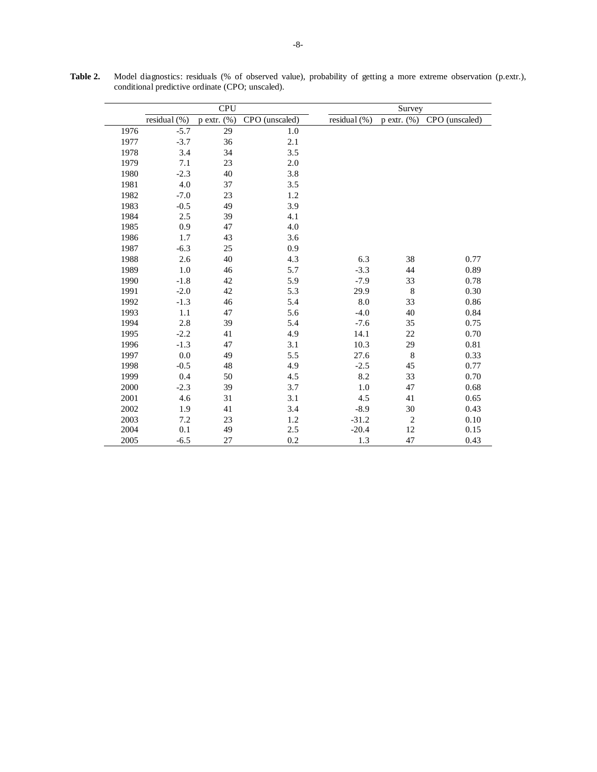|      |              | <b>CPU</b>       |                |              | Survey           |                |  |  |
|------|--------------|------------------|----------------|--------------|------------------|----------------|--|--|
|      | residual (%) | $p$ extr. $(\%)$ | CPO (unscaled) | residual (%) | $p$ extr. $(\%)$ | CPO (unscaled) |  |  |
| 1976 | $-5.7$       | 29               | 1.0            |              |                  |                |  |  |
| 1977 | $-3.7$       | 36               | 2.1            |              |                  |                |  |  |
| 1978 | 3.4          | 34               | 3.5            |              |                  |                |  |  |
| 1979 | 7.1          | 23               | 2.0            |              |                  |                |  |  |
| 1980 | $-2.3$       | 40               | 3.8            |              |                  |                |  |  |
| 1981 | 4.0          | 37               | 3.5            |              |                  |                |  |  |
| 1982 | $-7.0$       | 23               | 1.2            |              |                  |                |  |  |
| 1983 | $-0.5$       | 49               | 3.9            |              |                  |                |  |  |
| 1984 | 2.5          | 39               | 4.1            |              |                  |                |  |  |
| 1985 | 0.9          | 47               | 4.0            |              |                  |                |  |  |
| 1986 | 1.7          | 43               | 3.6            |              |                  |                |  |  |
| 1987 | $-6.3$       | 25               | 0.9            |              |                  |                |  |  |
| 1988 | 2.6          | 40               | 4.3            | 6.3          | 38               | 0.77           |  |  |
| 1989 | 1.0          | 46               | 5.7            | $-3.3$       | 44               | 0.89           |  |  |
| 1990 | $-1.8$       | 42               | 5.9            | $-7.9$       | 33               | 0.78           |  |  |
| 1991 | $-2.0$       | 42               | 5.3            | 29.9         | $\,$ 8 $\,$      | 0.30           |  |  |
| 1992 | $-1.3$       | 46               | 5.4            | 8.0          | 33               | 0.86           |  |  |
| 1993 | 1.1          | 47               | 5.6            | $-4.0$       | 40               | 0.84           |  |  |
| 1994 | 2.8          | 39               | 5.4            | $-7.6$       | 35               | 0.75           |  |  |
| 1995 | $-2.2$       | 41               | 4.9            | 14.1         | 22               | 0.70           |  |  |
| 1996 | $-1.3$       | 47               | 3.1            | 10.3         | 29               | 0.81           |  |  |
| 1997 | 0.0          | 49               | 5.5            | 27.6         | $\,8\,$          | 0.33           |  |  |
| 1998 | $-0.5$       | 48               | 4.9            | $-2.5$       | 45               | 0.77           |  |  |
| 1999 | 0.4          | 50               | 4.5            | 8.2          | 33               | 0.70           |  |  |
| 2000 | $-2.3$       | 39               | 3.7            | 1.0          | 47               | 0.68           |  |  |
| 2001 | 4.6          | 31               | 3.1            | 4.5          | 41               | 0.65           |  |  |
| 2002 | 1.9          | 41               | 3.4            | $-8.9$       | 30               | 0.43           |  |  |
| 2003 | 7.2          | 23               | 1.2            | $-31.2$      | $\overline{c}$   | 0.10           |  |  |
| 2004 | 0.1          | 49               | 2.5            | $-20.4$      | 12               | 0.15           |  |  |
| 2005 | $-6.5$       | 27               | 0.2            | 1.3          | 47               | 0.43           |  |  |

**Table 2.** Model diagnostics: residuals (% of observed value), probability of getting a more extreme observation (p.extr.), conditional predictive ordinate (CPO; unscaled).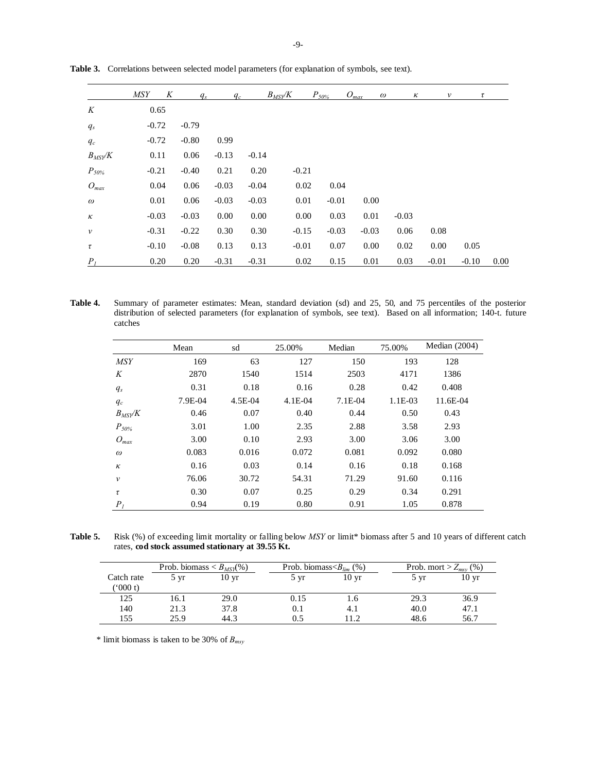|                    | <b>MSY</b> | K | $q_s$   | $q_c$   |         | $B_{MSY}$ /K | $P_{50\%}$ |         | $O_{max}$ | $\omega$ | к | v       | τ       |      |
|--------------------|------------|---|---------|---------|---------|--------------|------------|---------|-----------|----------|---|---------|---------|------|
| K                  | 0.65       |   |         |         |         |              |            |         |           |          |   |         |         |      |
| $q_s$              | $-0.72$    |   | $-0.79$ |         |         |              |            |         |           |          |   |         |         |      |
| $q_c$              | $-0.72$    |   | $-0.80$ | 0.99    |         |              |            |         |           |          |   |         |         |      |
| $B_{MSY}$ /K       | 0.11       |   | 0.06    | $-0.13$ | $-0.14$ |              |            |         |           |          |   |         |         |      |
| $P_{50\%}$         | $-0.21$    |   | $-0.40$ | 0.21    | 0.20    | $-0.21$      |            |         |           |          |   |         |         |      |
| $O_{max}$          | 0.04       |   | 0.06    | $-0.03$ | $-0.04$ |              | 0.02       | 0.04    |           |          |   |         |         |      |
| $\omega$           | 0.01       |   | 0.06    | $-0.03$ | $-0.03$ |              | 0.01       | $-0.01$ | $0.00\,$  |          |   |         |         |      |
| $\kappa$           | $-0.03$    |   | $-0.03$ | 0.00    | 0.00    |              | 0.00       | 0.03    | 0.01      | $-0.03$  |   |         |         |      |
| $\boldsymbol{\nu}$ | $-0.31$    |   | $-0.22$ | 0.30    | 0.30    |              | $-0.15$    | $-0.03$ | $-0.03$   | 0.06     |   | 0.08    |         |      |
| τ                  | $-0.10$    |   | $-0.08$ | 0.13    | 0.13    | $-0.01$      |            | 0.07    | 0.00      | 0.02     |   | 0.00    | 0.05    |      |
| P <sub>I</sub>     | 0.20       |   | 0.20    | $-0.31$ | $-0.31$ |              | 0.02       | 0.15    | 0.01      | 0.03     |   | $-0.01$ | $-0.10$ | 0.00 |

**Table 3.** Correlations between selected model parameters (for explanation of symbols, see text).

**Table 4.** Summary of parameter estimates: Mean, standard deviation (sd) and 25, 50, and 75 percentiles of the posterior distribution of selected parameters (for explanation of symbols, see text). Based on all information; 140-t. future catches

|                | Mean    | sd      | 25.00%    | Median    | 75.00%  | Median $(2004)$ |
|----------------|---------|---------|-----------|-----------|---------|-----------------|
| <b>MSY</b>     | 169     | 63      | 127       | 150       | 193     | 128             |
| K              | 2870    | 1540    | 1514      | 2503      | 4171    | 1386            |
| $q_s$          | 0.31    | 0.18    | 0.16      | 0.28      | 0.42    | 0.408           |
| $q_c$          | 7.9E-04 | 4.5E-04 | $4.1E-04$ | $7.1E-04$ | 1.1E-03 | 11.6E-04        |
| $B_{MSV}$ /K   | 0.46    | 0.07    | 0.40      | 0.44      | 0.50    | 0.43            |
| $P_{50\%}$     | 3.01    | 1.00    | 2.35      | 2.88      | 3.58    | 2.93            |
| $O_{max}$      | 3.00    | 0.10    | 2.93      | 3.00      | 3.06    | 3.00            |
| $\omega$       | 0.083   | 0.016   | 0.072     | 0.081     | 0.092   | 0.080           |
| $\kappa$       | 0.16    | 0.03    | 0.14      | 0.16      | 0.18    | 0.168           |
| $\mathcal{V}$  | 76.06   | 30.72   | 54.31     | 71.29     | 91.60   | 0.116           |
| τ              | 0.30    | 0.07    | 0.25      | 0.29      | 0.34    | 0.291           |
| P <sub>I</sub> | 0.94    | 0.19    | 0.80      | 0.91      | 1.05    | 0.878           |

**Table 5.** Risk (%) of exceeding limit mortality or falling below *MSY* or limit\* biomass after 5 and 10 years of different catch rates, **cod stock assumed stationary at 39.55 Kt.** 

|            | Prob. biomass $\langle B_{MSY}(\%)\rangle$ |                 | Prob. biomass $\langle B_{lim} (\% )$ |                  | Prob. mort > $Z_{msv}$ (%) |                  |  |
|------------|--------------------------------------------|-----------------|---------------------------------------|------------------|----------------------------|------------------|--|
| Catch rate | 5 yr                                       | $10 \text{ yr}$ | 5 vr                                  | 10 <sub>yr</sub> | $5 \text{ yr}$             | 10 <sub>yr</sub> |  |
| (5000 t)   |                                            |                 |                                       |                  |                            |                  |  |
| 125        | 16.1                                       | 29.0            | 0.15                                  | 1.6              | 29.3                       | 36.9             |  |
| 140        | 21.3                                       | 37.8            | 0.1                                   | 4.1              | 40.0                       | 47.1             |  |
| 155        | 25.9                                       | 44.3            | 0.5                                   | 11.2             | 48.6                       | 56.7             |  |

\* limit biomass is taken to be 30% of *Bmsy*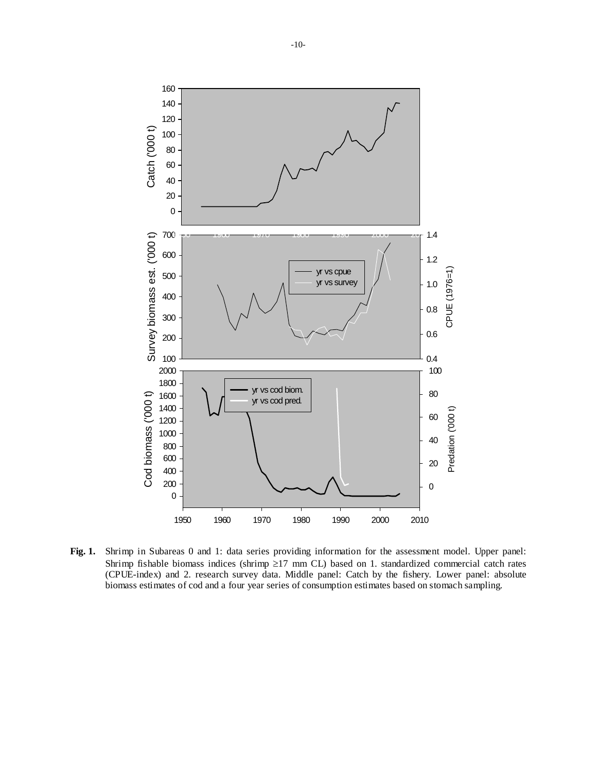

**Fig. 1.** Shrimp in Subareas 0 and 1: data series providing information for the assessment model. Upper panel: Shrimp fishable biomass indices (shrimp  $\geq$ 17 mm CL) based on 1. standardized commercial catch rates (CPUE-index) and 2. research survey data. Middle panel: Catch by the fishery. Lower panel: absolute biomass estimates of cod and a four year series of consumption estimates based on stomach sampling.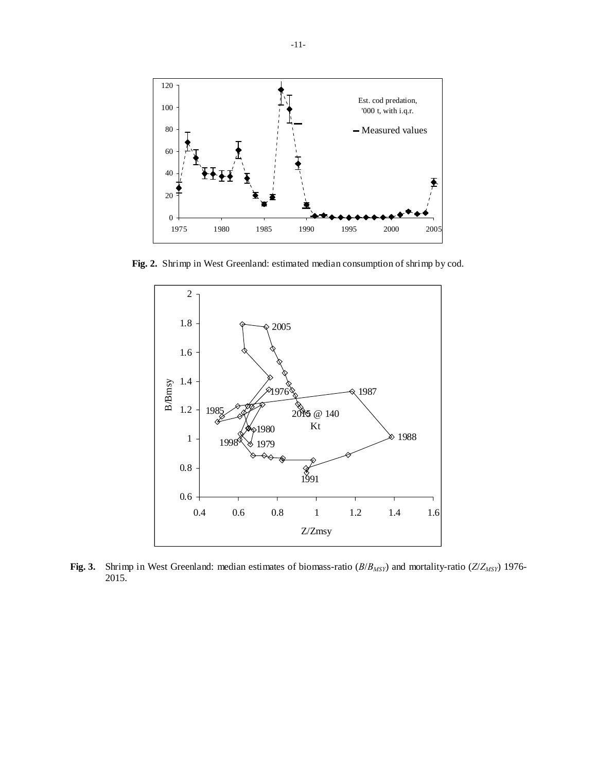

**Fig. 2.** Shrimp in West Greenland: estimated median consumption of shrimp by cod.



**Fig. 3.** Shrimp in West Greenland: median estimates of biomass-ratio (*B*/*BMSY*) and mortality-ratio (*Z*/*ZMSY*) 1976- 2015.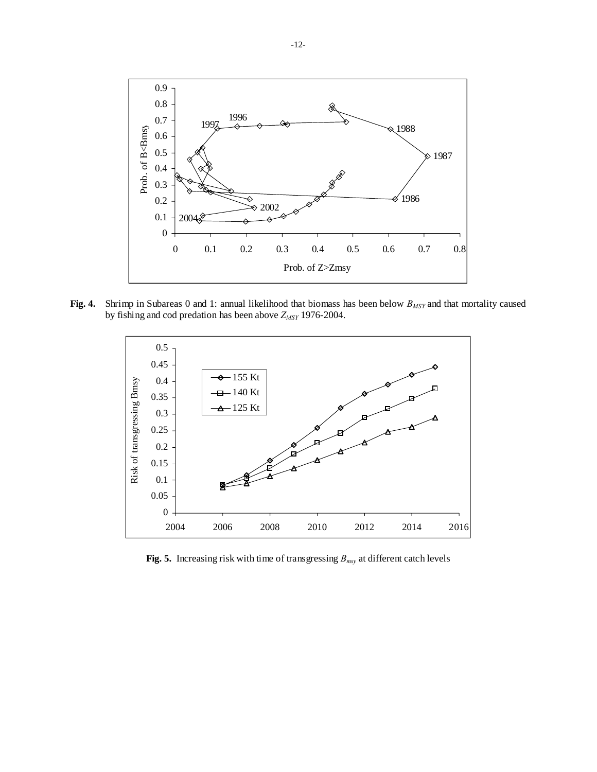

**Fig. 4.** Shrimp in Subareas 0 and 1: annual likelihood that biomass has been below  $B_{MSY}$  and that mortality caused by fishing and cod predation has been above  $Z_{MSY}$  1976-2004.



**Fig. 5.** Increasing risk with time of transgressing *Bmsy* at different catch levels